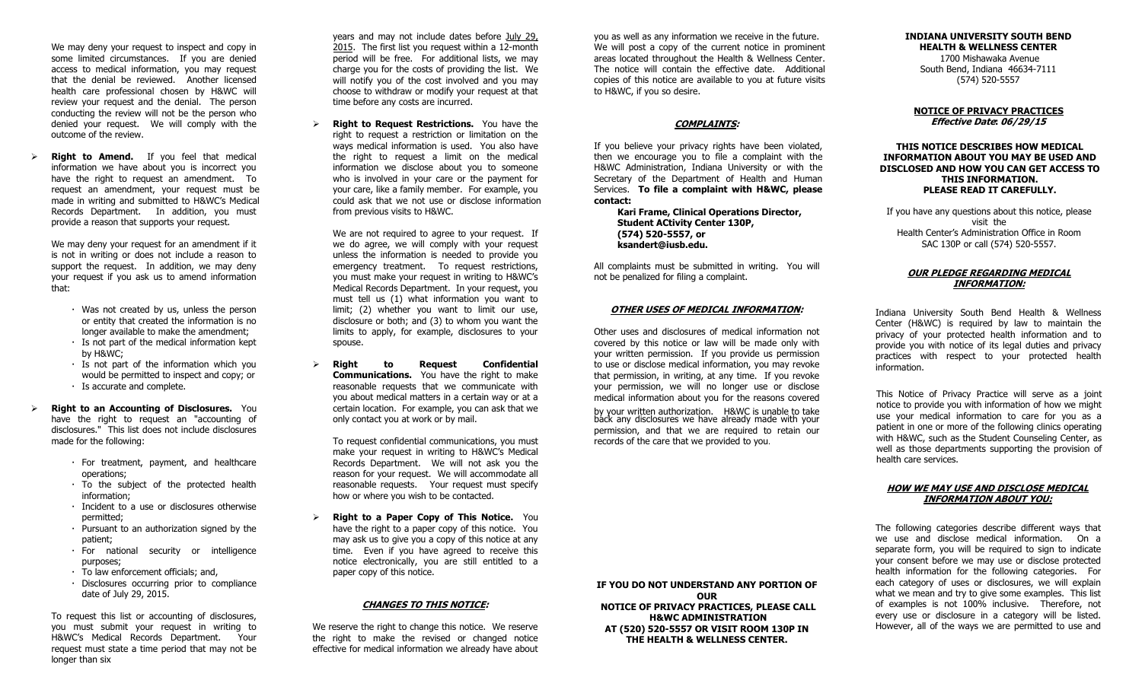We may deny your request to inspect and copy in some limited circumstances. If you are denied access to medical information, you may request that the denial be reviewed. Another licensed health care professional chosen by H&WC will review your request and the denial. The person conducting the review will not be the person who denied your request. We will comply with the outcome of the review.

 **Right to Amend.** If you feel that medical information we have about you is incorrect you have the right to request an amendment. To request an amendment, your request must be made in writing and submitted to H&WC's Medical Records Department. In addition, you must provide a reason that supports your request.

We may deny your request for an amendment if it is not in writing or does not include a reason to support the request. In addition, we may deny your request if you ask us to amend information that:

- Was not created by us, unless the person or entity that created the information is no longer available to make the amendment;
- $\cdot$  Is not part of the medical information kept by H&WC;
- Is not part of the information which you would be permitted to inspect and copy; or Is accurate and complete.
- **Right to an Accounting of Disclosures.** You have the right to request an "accounting of disclosures." This list does not include disclosures made for the following:
	- For treatment, payment, and healthcare operations;
	- To the subject of the protected health information;
	- Incident to a use or disclosures otherwise permitted;
	- $\cdot$  Pursuant to an authorization signed by the patient;
	- For national security or intelligence purposes;
	- To law enforcement officials; and,
	- Disclosures occurring prior to compliance date of July 29, 2015.

To request this list or accounting of disclosures, you must submit your request in writing to H&WC's Medical Records Department. Your request must state a time period that may not be longer than six

years and may not include dates before July 29, 2015. The first list you request within a 12-month period will be free. For additional lists, we may charge you for the costs of providing the list. We will notify you of the cost involved and you may choose to withdraw or modify your request at that time before any costs are incurred.

 **Right to Request Restrictions.** You have the right to request a restriction or limitation on the ways medical information is used. You also have the right to request a limit on the medical information we disclose about you to someone who is involved in your care or the payment for your care, like a family member. For example, you could ask that we not use or disclose information from previous visits to H&WC.

We are not required to agree to your request. If we do agree, we will comply with your request unless the information is needed to provide you emergency treatment. To request restrictions, you must make your request in writing to H&WC's Medical Records Department. In your request, you must tell us (1) what information you want to limit; (2) whether you want to limit our use, disclosure or both; and (3) to whom you want the limits to apply, for example, disclosures to your spouse.

 **Right to Request Confidential Communications.** You have the right to make reasonable requests that we communicate with you about medical matters in a certain way or at a certain location. For example, you can ask that we only contact you at work or by mail.

To request confidential communications, you must make your request in writing to H&WC's Medical Records Department. We will not ask you the reason for your request. We will accommodate all reasonable requests. Your request must specify how or where you wish to be contacted.

 **Right to a Paper Copy of This Notice.** You have the right to a paper copy of this notice. You may ask us to give you a copy of this notice at any time. Even if you have agreed to receive this notice electronically, you are still entitled to a paper copy of this notice.

### **CHANGES TO THIS NOTICE:**

We reserve the right to change this notice. We reserve the right to make the revised or changed notice effective for medical information we already have about you as well as any information we receive in the future. We will post a copy of the current notice in prominent areas located throughout the Health & Wellness Center. The notice will contain the effective date. Additional copies of this notice are available to you at future visits to H&WC, if you so desire.

### **COMPLAINTS:**

If you believe your privacy rights have been violated, then we encourage you to file a complaint with the H&WC Administration, Indiana University or with the Secretary of the Department of Health and Human Services. **To file a complaint with H&WC, please contact:** 

**Kari Frame, Clinical Operations Director, Student ACtivity Center 130P, (574) 520-5557, or ksandert@iusb.edu.**

All complaints must be submitted in writing. You will not be penalized for filing a complaint.

#### **OTHER USES OF MEDICAL INFORMATION:**

Other uses and disclosures of medical information not covered by this notice or law will be made only with your written permission. If you provide us permission to use or disclose medical information, you may revoke that permission, in writing, at any time. If you revoke your permission, we will no longer use or disclose medical information about you for the reasons covered

by your written authorization. H&WC is unable to take back any disclosures we have already made with your permission, and that we are required to retain our records of the care that we provided to you.

#### **INDIANA UNIVERSITY SOUTH BEND HEALTH & WELLNESS CENTER** 1700 Mishawaka Avenue South Bend, Indiana 46634-7111 (574) 520-5557

# **NOTICE OF PRIVACY PRACTICES**

**Effective Date: 06/29/15**

**THIS NOTICE DESCRIBES HOW MEDICAL INFORMATION ABOUT YOU MAY BE USED AND DISCLOSED AND HOW YOU CAN GET ACCESS TO THIS INFORMATION. PLEASE READ IT CAREFULLY.** 

If you have any questions about this notice, please visit the Health Center's Administration Office in Room SAC 130P or call (574) 520-5557.

## **OUR PLEDGE REGARDING MEDICAL INFORMATION:**

Indiana University South Bend Health & Wellness Center (H&WC) is required by law to maintain the privacy of your protected health information and to provide you with notice of its legal duties and privacy practices with respect to your protected health information.

This Notice of Privacy Practice will serve as a joint notice to provide you with information of how we might use your medical information to care for you as a patient in one or more of the following clinics operating with H&WC, such as the Student Counseling Center, as well as those departments supporting the provision of health care services.

## **HOW WE MAY USE AND DISCLOSE MEDICAL INFORMATION ABOUT YOU:**

The following categories describe different ways that we use and disclose medical information. On a separate form, you will be required to sign to indicate your consent before we may use or disclose protected health information for the following categories. For each category of uses or disclosures, we will explain what we mean and try to give some examples. This list of examples is not 100% inclusive. Therefore, not every use or disclosure in a category will be listed. However, all of the ways we are permitted to use and

**IF YOU DO NOT UNDERSTAND ANY PORTION OF OUR NOTICE OF PRIVACY PRACTICES, PLEASE CALL H&WC ADMINISTRATION AT (520) 520-5557 OR VISIT ROOM 130P IN THE HEALTH & WELLNESS CENTER.**